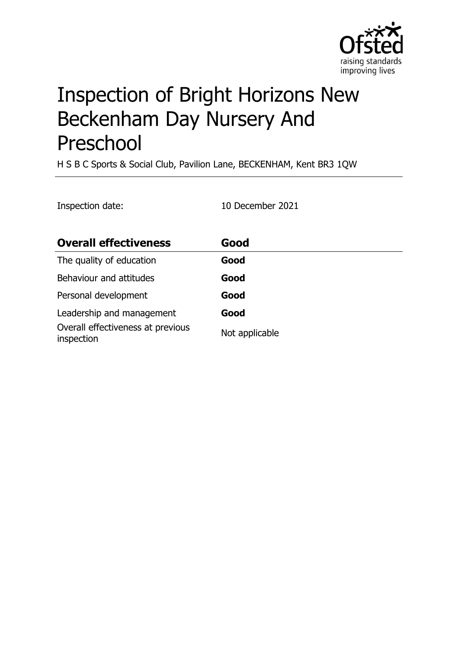

# Inspection of Bright Horizons New Beckenham Day Nursery And Preschool

H S B C Sports & Social Club, Pavilion Lane, BECKENHAM, Kent BR3 1QW

| Inspection date:                                | 10 December 2021 |
|-------------------------------------------------|------------------|
| <b>Overall effectiveness</b>                    | Good             |
| The quality of education                        | Good             |
| Behaviour and attitudes                         | Good             |
| Personal development                            | Good             |
| Leadership and management                       | Good             |
| Overall effectiveness at previous<br>inspection | Not applicable   |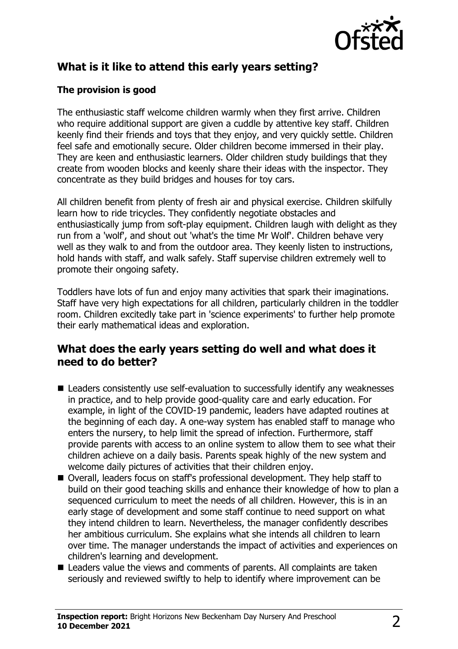

# **What is it like to attend this early years setting?**

#### **The provision is good**

The enthusiastic staff welcome children warmly when they first arrive. Children who require additional support are given a cuddle by attentive key staff. Children keenly find their friends and toys that they enjoy, and very quickly settle. Children feel safe and emotionally secure. Older children become immersed in their play. They are keen and enthusiastic learners. Older children study buildings that they create from wooden blocks and keenly share their ideas with the inspector. They concentrate as they build bridges and houses for toy cars.

All children benefit from plenty of fresh air and physical exercise. Children skilfully learn how to ride tricycles. They confidently negotiate obstacles and enthusiastically jump from soft-play equipment. Children laugh with delight as they run from a 'wolf', and shout out 'what's the time Mr Wolf'. Children behave very well as they walk to and from the outdoor area. They keenly listen to instructions, hold hands with staff, and walk safely. Staff supervise children extremely well to promote their ongoing safety.

Toddlers have lots of fun and enjoy many activities that spark their imaginations. Staff have very high expectations for all children, particularly children in the toddler room. Children excitedly take part in 'science experiments' to further help promote their early mathematical ideas and exploration.

#### **What does the early years setting do well and what does it need to do better?**

- $\blacksquare$  Leaders consistently use self-evaluation to successfully identify any weaknesses in practice, and to help provide good-quality care and early education. For example, in light of the COVID-19 pandemic, leaders have adapted routines at the beginning of each day. A one-way system has enabled staff to manage who enters the nursery, to help limit the spread of infection. Furthermore, staff provide parents with access to an online system to allow them to see what their children achieve on a daily basis. Parents speak highly of the new system and welcome daily pictures of activities that their children enjoy.
- Overall, leaders focus on staff's professional development. They help staff to build on their good teaching skills and enhance their knowledge of how to plan a sequenced curriculum to meet the needs of all children. However, this is in an early stage of development and some staff continue to need support on what they intend children to learn. Nevertheless, the manager confidently describes her ambitious curriculum. She explains what she intends all children to learn over time. The manager understands the impact of activities and experiences on children's learning and development.
- Leaders value the views and comments of parents. All complaints are taken seriously and reviewed swiftly to help to identify where improvement can be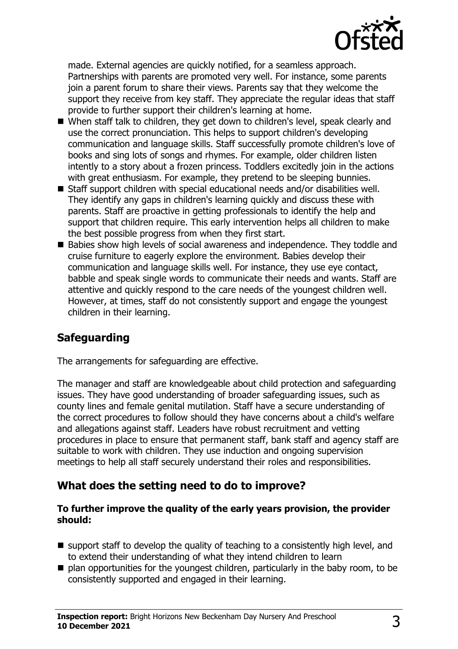

made. External agencies are quickly notified, for a seamless approach. Partnerships with parents are promoted very well. For instance, some parents join a parent forum to share their views. Parents say that they welcome the support they receive from key staff. They appreciate the regular ideas that staff provide to further support their children's learning at home.

- When staff talk to children, they get down to children's level, speak clearly and use the correct pronunciation. This helps to support children's developing communication and language skills. Staff successfully promote children's love of books and sing lots of songs and rhymes. For example, older children listen intently to a story about a frozen princess. Toddlers excitedly join in the actions with great enthusiasm. For example, they pretend to be sleeping bunnies.
- $\blacksquare$  Staff support children with special educational needs and/or disabilities well. They identify any gaps in children's learning quickly and discuss these with parents. Staff are proactive in getting professionals to identify the help and support that children require. This early intervention helps all children to make the best possible progress from when they first start.
- Babies show high levels of social awareness and independence. They toddle and cruise furniture to eagerly explore the environment. Babies develop their communication and language skills well. For instance, they use eye contact, babble and speak single words to communicate their needs and wants. Staff are attentive and quickly respond to the care needs of the youngest children well. However, at times, staff do not consistently support and engage the youngest children in their learning.

## **Safeguarding**

The arrangements for safeguarding are effective.

The manager and staff are knowledgeable about child protection and safeguarding issues. They have good understanding of broader safeguarding issues, such as county lines and female genital mutilation. Staff have a secure understanding of the correct procedures to follow should they have concerns about a child's welfare and allegations against staff. Leaders have robust recruitment and vetting procedures in place to ensure that permanent staff, bank staff and agency staff are suitable to work with children. They use induction and ongoing supervision meetings to help all staff securely understand their roles and responsibilities.

#### **What does the setting need to do to improve?**

#### **To further improve the quality of the early years provision, the provider should:**

- $\blacksquare$  support staff to develop the quality of teaching to a consistently high level, and to extend their understanding of what they intend children to learn
- $\blacksquare$  plan opportunities for the youngest children, particularly in the baby room, to be consistently supported and engaged in their learning.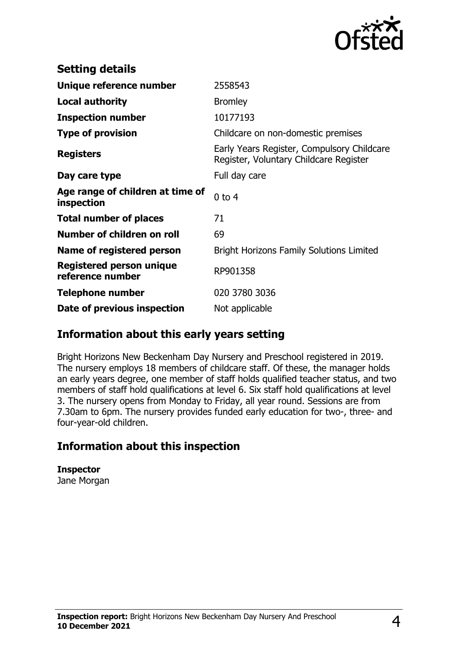

| <b>Setting details</b>                              |                                                                                      |
|-----------------------------------------------------|--------------------------------------------------------------------------------------|
| Unique reference number                             | 2558543                                                                              |
| <b>Local authority</b>                              | <b>Bromley</b>                                                                       |
| <b>Inspection number</b>                            | 10177193                                                                             |
| <b>Type of provision</b>                            | Childcare on non-domestic premises                                                   |
| <b>Registers</b>                                    | Early Years Register, Compulsory Childcare<br>Register, Voluntary Childcare Register |
| Day care type                                       | Full day care                                                                        |
| Age range of children at time of<br>inspection      | $0$ to $4$                                                                           |
| <b>Total number of places</b>                       | 71                                                                                   |
| Number of children on roll                          | 69                                                                                   |
| Name of registered person                           | <b>Bright Horizons Family Solutions Limited</b>                                      |
| <b>Registered person unique</b><br>reference number | RP901358                                                                             |
| <b>Telephone number</b>                             | 020 3780 3036                                                                        |
| Date of previous inspection                         | Not applicable                                                                       |

#### **Information about this early years setting**

Bright Horizons New Beckenham Day Nursery and Preschool registered in 2019. The nursery employs 18 members of childcare staff. Of these, the manager holds an early years degree, one member of staff holds qualified teacher status, and two members of staff hold qualifications at level 6. Six staff hold qualifications at level 3. The nursery opens from Monday to Friday, all year round. Sessions are from 7.30am to 6pm. The nursery provides funded early education for two-, three- and four-year-old children.

## **Information about this inspection**

**Inspector** Jane Morgan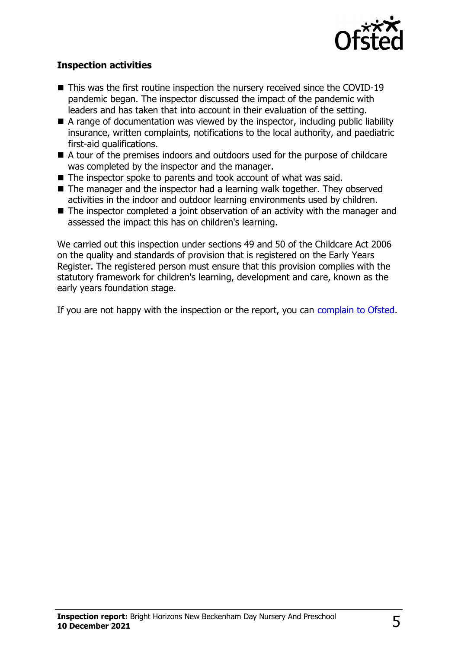

#### **Inspection activities**

- $\blacksquare$  This was the first routine inspection the nursery received since the COVID-19 pandemic began. The inspector discussed the impact of the pandemic with leaders and has taken that into account in their evaluation of the setting.
- $\blacksquare$  A range of documentation was viewed by the inspector, including public liability insurance, written complaints, notifications to the local authority, and paediatric first-aid qualifications.
- A tour of the premises indoors and outdoors used for the purpose of childcare was completed by the inspector and the manager.
- $\blacksquare$  The inspector spoke to parents and took account of what was said.
- $\blacksquare$  The manager and the inspector had a learning walk together. They observed activities in the indoor and outdoor learning environments used by children.
- $\blacksquare$  The inspector completed a joint observation of an activity with the manager and assessed the impact this has on children's learning.

We carried out this inspection under sections 49 and 50 of the Childcare Act 2006 on the quality and standards of provision that is registered on the Early Years Register. The registered person must ensure that this provision complies with the statutory framework for children's learning, development and care, known as the early years foundation stage.

If you are not happy with the inspection or the report, you can [complain to Ofsted](http://www.gov.uk/complain-ofsted-report).